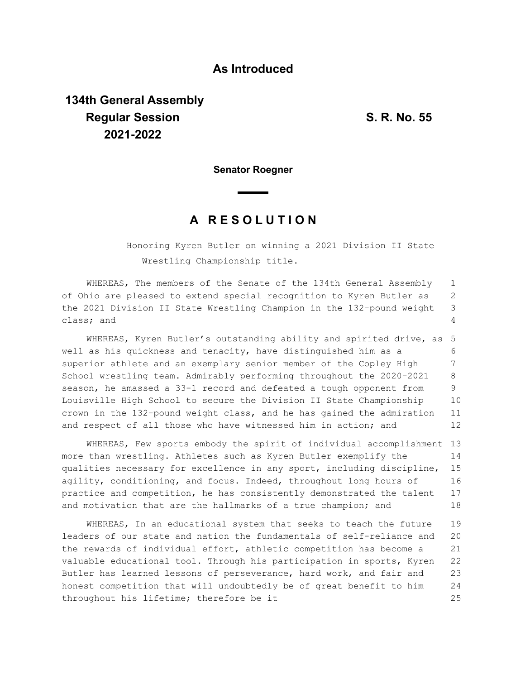## **As Introduced**

## **134th General Assembly Regular Session S. R. No. 55 2021-2022**

**Senator Roegner**

## **A R E S O L U T I O N**

Honoring Kyren Butler on winning a 2021 Division II State Wrestling Championship title.

WHEREAS, The members of the Senate of the 134th General Assembly of Ohio are pleased to extend special recognition to Kyren Butler as the 2021 Division II State Wrestling Champion in the 132-pound weight class; and 1 2 3 4

WHEREAS, Kyren Butler's outstanding ability and spirited drive, as well as his quickness and tenacity, have distinguished him as a superior athlete and an exemplary senior member of the Copley High School wrestling team. Admirably performing throughout the 2020-2021 season, he amassed a 33-1 record and defeated a tough opponent from Louisville High School to secure the Division II State Championship crown in the 132-pound weight class, and he has gained the admiration and respect of all those who have witnessed him in action; and 5 6 7 8 9 10 11 12

WHEREAS, Few sports embody the spirit of individual accomplishment 13 more than wrestling. Athletes such as Kyren Butler exemplify the qualities necessary for excellence in any sport, including discipline, agility, conditioning, and focus. Indeed, throughout long hours of practice and competition, he has consistently demonstrated the talent and motivation that are the hallmarks of a true champion; and 14 15 16 17 18

WHEREAS, In an educational system that seeks to teach the future leaders of our state and nation the fundamentals of self-reliance and the rewards of individual effort, athletic competition has become a valuable educational tool. Through his participation in sports, Kyren Butler has learned lessons of perseverance, hard work, and fair and honest competition that will undoubtedly be of great benefit to him throughout his lifetime; therefore be it 19 20 21 22 23 24 25